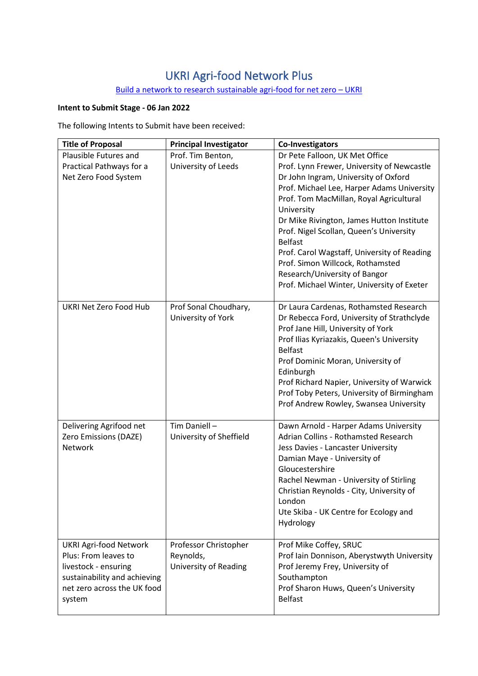## UKRI Agri-food Network Plus

## Build a network to research sustainable agri-food for net zero - UKRI

## **Intent to Submit Stage - 06 Jan 2022**

The following Intents to Submit have been received:

| <b>Title of Proposal</b>                                                                                                                               | <b>Principal Investigator</b>                                      | <b>Co-Investigators</b>                                                                                                                                                                                                                                                                                                                                                                                                                                                                                 |
|--------------------------------------------------------------------------------------------------------------------------------------------------------|--------------------------------------------------------------------|---------------------------------------------------------------------------------------------------------------------------------------------------------------------------------------------------------------------------------------------------------------------------------------------------------------------------------------------------------------------------------------------------------------------------------------------------------------------------------------------------------|
| Plausible Futures and<br>Practical Pathways for a<br>Net Zero Food System                                                                              | Prof. Tim Benton,<br>University of Leeds                           | Dr Pete Falloon, UK Met Office<br>Prof. Lynn Frewer, University of Newcastle<br>Dr John Ingram, University of Oxford<br>Prof. Michael Lee, Harper Adams University<br>Prof. Tom MacMillan, Royal Agricultural<br>University<br>Dr Mike Rivington, James Hutton Institute<br>Prof. Nigel Scollan, Queen's University<br><b>Belfast</b><br>Prof. Carol Wagstaff, University of Reading<br>Prof. Simon Willcock, Rothamsted<br>Research/University of Bangor<br>Prof. Michael Winter, University of Exeter |
| UKRI Net Zero Food Hub                                                                                                                                 | Prof Sonal Choudhary,<br>University of York                        | Dr Laura Cardenas, Rothamsted Research<br>Dr Rebecca Ford, University of Strathclyde<br>Prof Jane Hill, University of York<br>Prof Ilias Kyriazakis, Queen's University<br><b>Belfast</b><br>Prof Dominic Moran, University of<br>Edinburgh<br>Prof Richard Napier, University of Warwick<br>Prof Toby Peters, University of Birmingham<br>Prof Andrew Rowley, Swansea University                                                                                                                       |
| Delivering Agrifood net<br>Zero Emissions (DAZE)<br>Network                                                                                            | Tim Daniell-<br>University of Sheffield                            | Dawn Arnold - Harper Adams University<br>Adrian Collins - Rothamsted Research<br>Jess Davies - Lancaster University<br>Damian Maye - University of<br>Gloucestershire<br>Rachel Newman - University of Stirling<br>Christian Reynolds - City, University of<br>London<br>Ute Skiba - UK Centre for Ecology and<br>Hydrology                                                                                                                                                                             |
| <b>UKRI Agri-food Network</b><br>Plus: From leaves to<br>livestock - ensuring<br>sustainability and achieving<br>net zero across the UK food<br>system | Professor Christopher<br>Reynolds,<br><b>University of Reading</b> | Prof Mike Coffey, SRUC<br>Prof Iain Donnison, Aberystwyth University<br>Prof Jeremy Frey, University of<br>Southampton<br>Prof Sharon Huws, Queen's University<br><b>Belfast</b>                                                                                                                                                                                                                                                                                                                        |